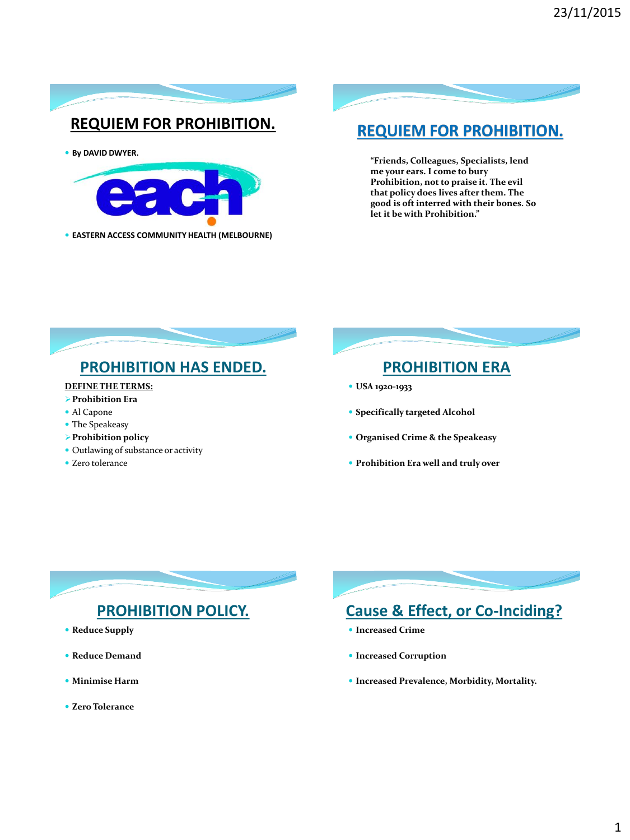

### **REQUIEM FOR PROHIBITION.**

**By DAVID DWYER.** 



**EASTERN ACCESS COMMUNITY HEALTH (MELBOURNE)**

### **REQUIEM FOR PROHIBITION.**

**"Friends, Colleagues, Specialists, lend me your ears. I come to bury Prohibition, not to praise it. The evil that policy does lives after them. The good is oft interred with their bones. So let it be with Prohibition."**



### **DEFINE THE TERMS:**

- **Prohibition Era**
- Al Capone
- The Speakeasy
- **Prohibition policy**
- Outlawing of substance or activity
- Zero tolerance

### **PROHIBITION ERA**

- **USA 1920-1933**
- **Specifically targeted Alcohol**
- **Organised Crime & the Speakeasy**
- **Prohibition Era well and truly over**

### **PROHIBITION POLICY.**

- **Reduce Supply**
- **Reduce Demand**
- **Minimise Harm**
- **Zero Tolerance**



## **Cause & Effect, or Co-Inciding?**

- **Increased Crime**
- **Increased Corruption**
- **Increased Prevalence, Morbidity, Mortality.**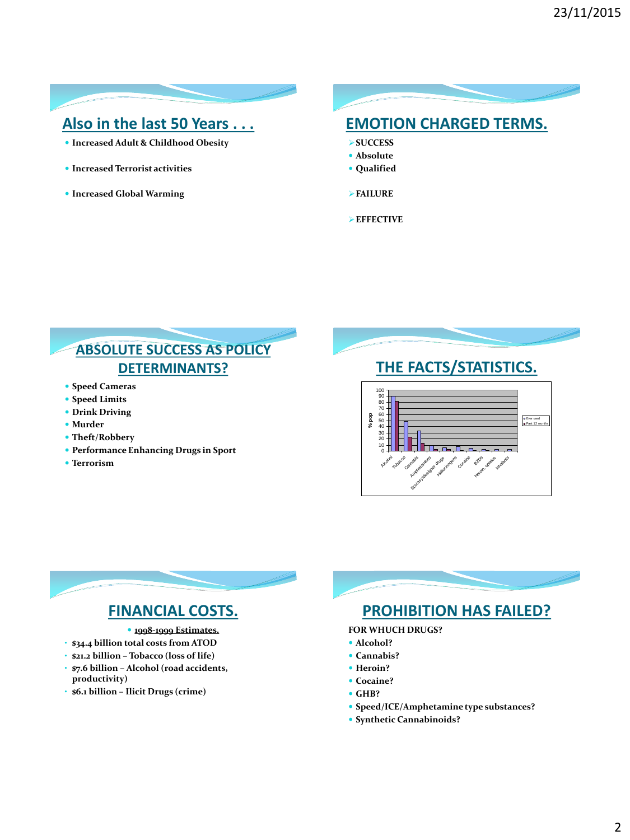### **Also in the last 50 Years . . .**

- **Increased Adult & Childhood Obesity**
- **Increased Terrorist activities**
- **Increased Global Warming**

### **EMOTION CHARGED TERMS.**

- **SUCCESS**
- **Absolute**
- **Qualified**

**FAILURE**

**EFFECTIVE**

### **ABSOLUTE SUCCESS AS POLICY DETERMINANTS?**

- **Speed Cameras**
- **Speed Limits**
- **Drink Driving**
- **Murder**
- **Theft/Robbery**
- **Performance Enhancing Drugs in Sport**
- **Terrorism**

### **THE FACTS/STATISTICS.** 0 10 20 30 40 90<br>80 -<br>70<br>60 -<br>50 -100 Alcohol Tobacco Cannabis Amphetamines Katagoria designer drugs Hallucinogens Cocaine al **Huroin, opiates** Intagants **% pop** Ever used Past 12 months

## **FINANCIAL COSTS.**

- **1998-1999 Estimates.**
- **\$34.4 billion total costs from ATOD**
- **\$21.2 billion – Tobacco (loss of life)** • **\$7.6 billion – Alcohol (road accidents,**
- **productivity)**
- **\$6.1 billion – Ilicit Drugs (crime)**



### **PROHIBITION HAS FAILED?**

- **FOR WHUCH DRUGS?**
- **Alcohol?**
- **Cannabis?**
- **•** Heroin?
- **Cocaine?**
- **GHB?**
- **Speed/ICE/Amphetamine type substances?**
- **Synthetic Cannabinoids?**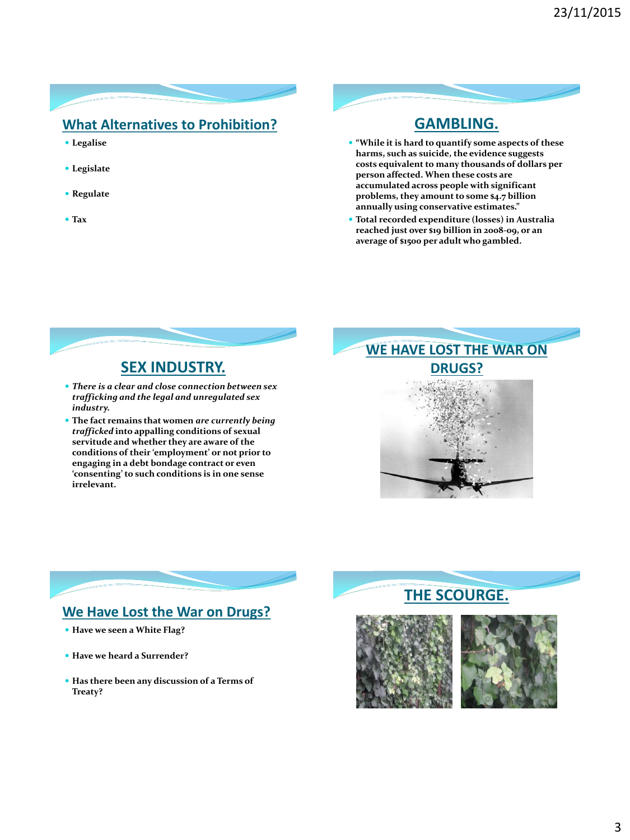### **What Alternatives to Prohibition?**

- **Legalise**
- **Legislate**
- **Regulate**
- **Tax**

### **GAMBLING.**

- **"While it is hard to quantify some aspects of these harms, such as suicide, the evidence suggests costs equivalent to many thousands of dollars per person affected. When these costs are accumulated across people with significant problems, they amount to some \$4.7 billion annually using conservative estimates."**
- **Total recorded expenditure (losses) in Australia reached just over \$19 billion in 2008-09, or an average of \$1500 per adult who gambled.**



### *There is a clear and close connection between sex trafficking and the legal and unregulated sex industry.*

 **The fact remains that women** *are currently being trafficked* **into appalling conditions of sexual servitude and whether they are aware of the conditions of their 'employment' or not prior to engaging in a debt bondage contract or even 'consenting' to such conditions is in one sense irrelevant.**

# **WE HAVE LOST THE WAR ON DRUGS?**



### **We Have Lost the War on Drugs?**

- **Have we seen a White Flag?**
- **Have we heard a Surrender?**
- **Has there been any discussion of a Terms of Treaty?**

### **THE SCOURGE.**